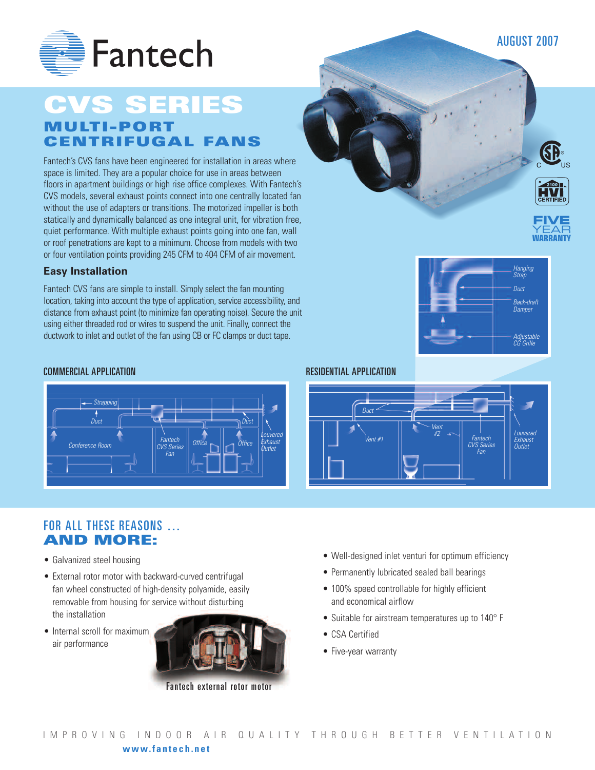AUGUST 2007



# **CVS SERIES MULTI -PORT CENTRIFUGAL FANS**

Fantech's CVS fans have been engineered for installation in areas where space is limited. They are a popular choice for use in areas between floors in apartment buildings or high rise office complexes. With Fantech's CVS models, several exhaust points connect into one centrally located fan without the use of adapters or transitions. The motorized impeller is both statically and dynamically balanced as one integral unit, for vibration free, quiet performance. With multiple exhaust points going into one fan, wall or roof penetrations are kept to a minimum. Choose from models with two or four ventilation points providing 245 CFM to 404 CFM of air movement.

#### **Easy Installation**

Fantech CVS fans are simple to install. Simply select the fan mounting location, taking into account the type of application, service accessibility, and distance from exhaust point (to minimize fan operating noise). Secure the unit using either threaded rod or wires to suspend the unit. Finally, connect the ductwork to inlet and outlet of the fan using CB or FC clamps or duct tape.

#### COMMERCIAL APPLICATION RESIDENTIAL APPLICATION



### FOR ALL THESE REASONS … **AND MORE:**

- Galvanized steel housing
- External rotor motor with backward-curved centrifugal fan wheel constructed of high-density polyamide, easily removable from housing for service without disturbing the installation
- Internal scroll for maximum air performance



Fantech external rotor motor





- Well-designed inlet venturi for optimum efficiency
- Permanently lubricated sealed ball bearings
- 100% speed controllable for highly efficient and economical airflow
- Suitable for airstream temperatures up to 140° F
- CSA Certified
- Five-year warranty





**FIVE YEAR WARRANTY**